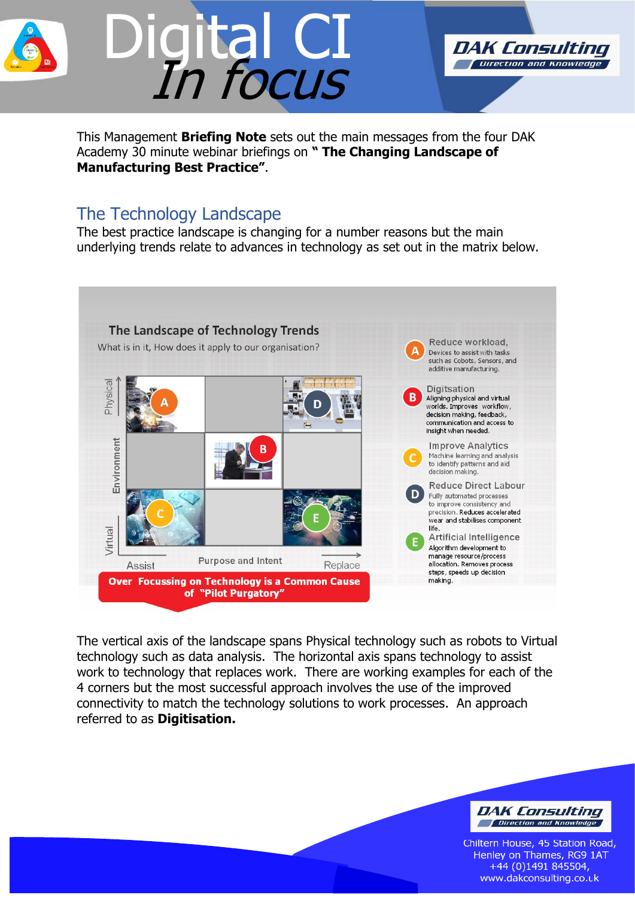

This Management **Briefing Note** sets out the main messages from the four DAK Academy 30 minute webinar briefings on **" The Changing Landscape of Manufacturing Best Practice"**.

### The Technology Landscape

The best practice landscape is changing for a number reasons but the main underlying trends relate to advances in technology as set out in the matrix below.



The vertical axis of the landscape spans Physical technology such as robots to Virtual technology such as data analysis. The horizontal axis spans technology to assist work to technology that replaces work. There are working examples for each of the 4 corners but the most successful approach involves the use of the improved connectivity to match the technology solutions to work processes. An approach referred to as **Digitisation.** 



DAK Consulting Direction and Knowledge

Chiltern House, 45 Station Road, Henley on Thames, RG9 1AT  $+44$  (0)1491 845504, www.dakconsulting.co.uk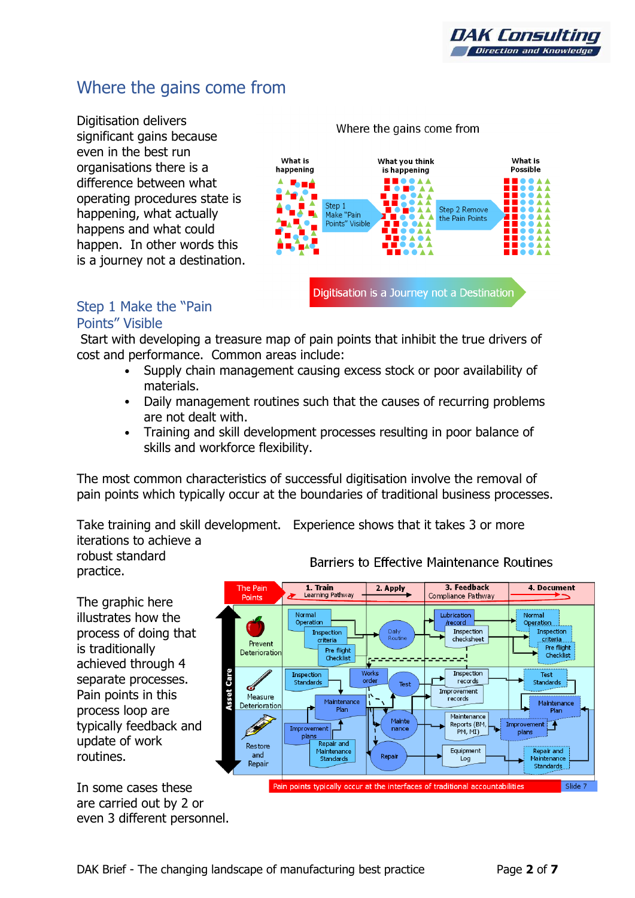### Where the gains come from

Digitisation delivers significant gains because even in the best run organisations there is a difference between what operating procedures state is happening, what actually happens and what could happen. In other words this is a journey not a destination.

#### Where the gains come from



#### Step 1 Make the "Pain Points" Visible

Start with developing a treasure map of pain points that inhibit the true drivers of cost and performance. Common areas include:

- Supply chain management causing excess stock or poor availability of materials.
- Daily management routines such that the causes of recurring problems are not dealt with.
- Training and skill development processes resulting in poor balance of skills and workforce flexibility.

The most common characteristics of successful digitisation involve the removal of pain points which typically occur at the boundaries of traditional business processes.

Take training and skill development. Experience shows that it takes 3 or more iterations to achieve a

robust standard practice.

The graphic here illustrates how the process of doing that is traditionally achieved through 4 separate processes. Pain points in this process loop are typically feedback and update of work routines.

In some cases these are carried out by 2 or even 3 different personnel.

#### **Barriers to Effective Maintenance Routines**

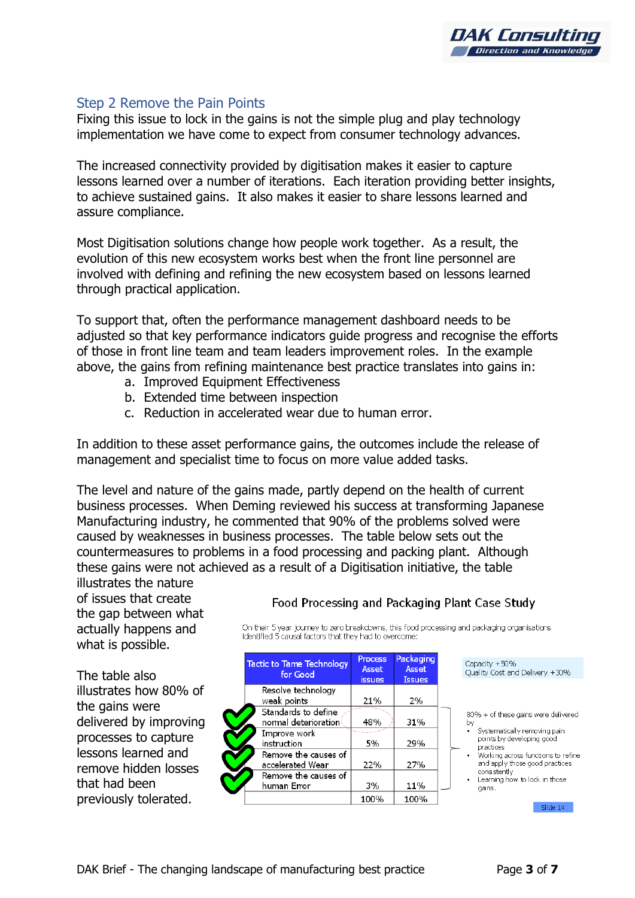

#### Step 2 Remove the Pain Points

Fixing this issue to lock in the gains is not the simple plug and play technology implementation we have come to expect from consumer technology advances.

The increased connectivity provided by digitisation makes it easier to capture lessons learned over a number of iterations. Each iteration providing better insights, to achieve sustained gains. It also makes it easier to share lessons learned and assure compliance.

Most Digitisation solutions change how people work together. As a result, the evolution of this new ecosystem works best when the front line personnel are involved with defining and refining the new ecosystem based on lessons learned through practical application.

To support that, often the performance management dashboard needs to be adjusted so that key performance indicators guide progress and recognise the efforts of those in front line team and team leaders improvement roles. In the example above, the gains from refining maintenance best practice translates into gains in:

- a. Improved Equipment Effectiveness
- b. Extended time between inspection
- c. Reduction in accelerated wear due to human error.

In addition to these asset performance gains, the outcomes include the release of management and specialist time to focus on more value added tasks.

The level and nature of the gains made, partly depend on the health of current business processes. When Deming reviewed his success at transforming Japanese Manufacturing industry, he commented that 90% of the problems solved were caused by weaknesses in business processes. The table below sets out the countermeasures to problems in a food processing and packing plant. Although these gains were not achieved as a result of a Digitisation initiative, the table

illustrates the nature of issues that create the gap between what actually happens and what is possible.

The table also illustrates how 80% of the gains were delivered by improving processes to capture lessons learned and remove hidden losses that had been previously tolerated.

| <b>Tactic to Tame Technology</b><br>for Good | <b>Process</b><br>Asset<br><b>issues</b> | Packaging<br>Asset<br><b>Issues</b> |
|----------------------------------------------|------------------------------------------|-------------------------------------|
| Resolve technology<br>weak points            | 21%                                      | 2%                                  |
| Standards to define<br>normal deterioration  | 48%                                      | 31%                                 |
| Improve work<br>instruction                  | 5%                                       | 29%                                 |
| Remove the causes of<br>accelerated Wear     | 22%                                      | 27%                                 |
| Remove the causes of<br>human Error          | 3%                                       | 11%                                 |
|                                              | 100%                                     | 100%                                |

identified 5 causal factors that they had to overcome:

Food Processing and Packaging Plant Case Study

On their 5 year journey to zero breakdowns, this food processing and packaging organisations

Canacity +50% Quality Cost and Delivery +30%

80% + of these gains were delivered

- by Systematically removing pain points by developing good practices.
- Working across functions to refine and apply those good practices consistently
- Learning how to lock in those gains.

Slide 14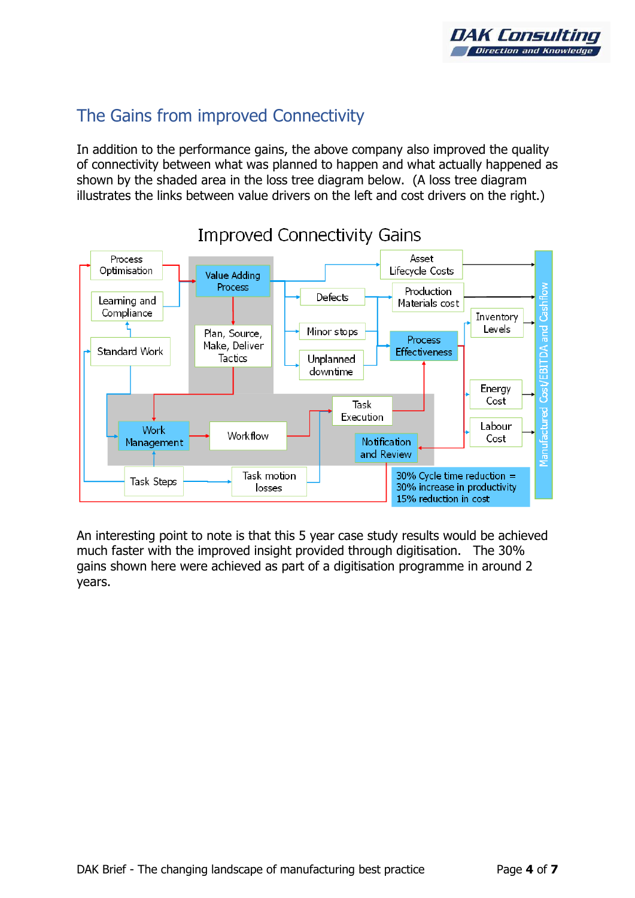

# The Gains from improved Connectivity

In addition to the performance gains, the above company also improved the quality of connectivity between what was planned to happen and what actually happened as shown by the shaded area in the loss tree diagram below. (A loss tree diagram illustrates the links between value drivers on the left and cost drivers on the right.)



# **Improved Connectivity Gains**

An interesting point to note is that this 5 year case study results would be achieved much faster with the improved insight provided through digitisation. The 30% gains shown here were achieved as part of a digitisation programme in around 2 years.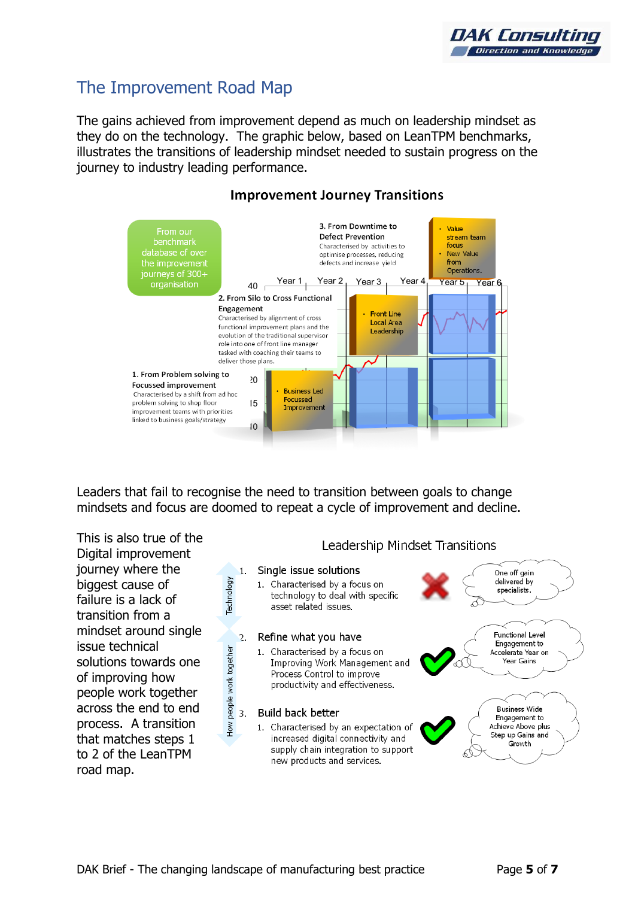## The Improvement Road Map

The gains achieved from improvement depend as much on leadership mindset as they do on the technology. The graphic below, based on LeanTPM benchmarks, illustrates the transitions of leadership mindset needed to sustain progress on the journey to industry leading performance.



### **Improvement Journey Transitions**

Leaders that fail to recognise the need to transition between goals to change mindsets and focus are doomed to repeat a cycle of improvement and decline.

This is also true of the Digital improvement journey where the biggest cause of failure is a lack of transition from a mindset around single issue technical solutions towards one of improving how people work together across the end to end process. A transition that matches steps 1 to 2 of the LeanTPM road map.





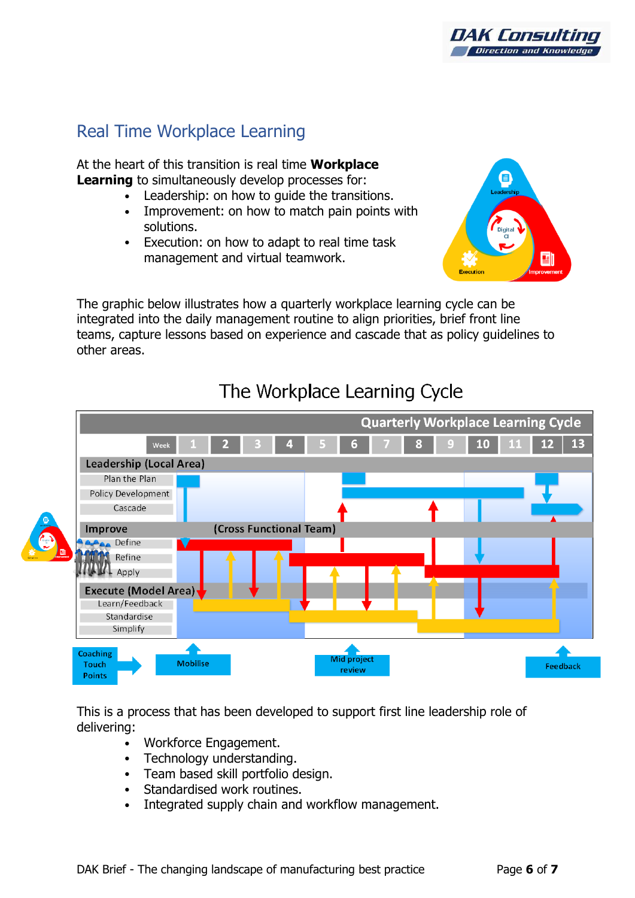

### Real Time Workplace Learning

At the heart of this transition is real time **Workplace Learning** to simultaneously develop processes for:

- Leadership: on how to quide the transitions.
- Improvement: on how to match pain points with solutions.
- Execution: on how to adapt to real time task management and virtual teamwork.



The graphic below illustrates how a quarterly workplace learning cycle can be integrated into the daily management routine to align priorities, brief front line teams, capture lessons based on experience and cascade that as policy guidelines to other areas.



# The Workplace Learning Cycle

This is a process that has been developed to support first line leadership role of delivering:

- Workforce Engagement.
- Technology understanding.
- Team based skill portfolio design.
- Standardised work routines.
- Integrated supply chain and workflow management.